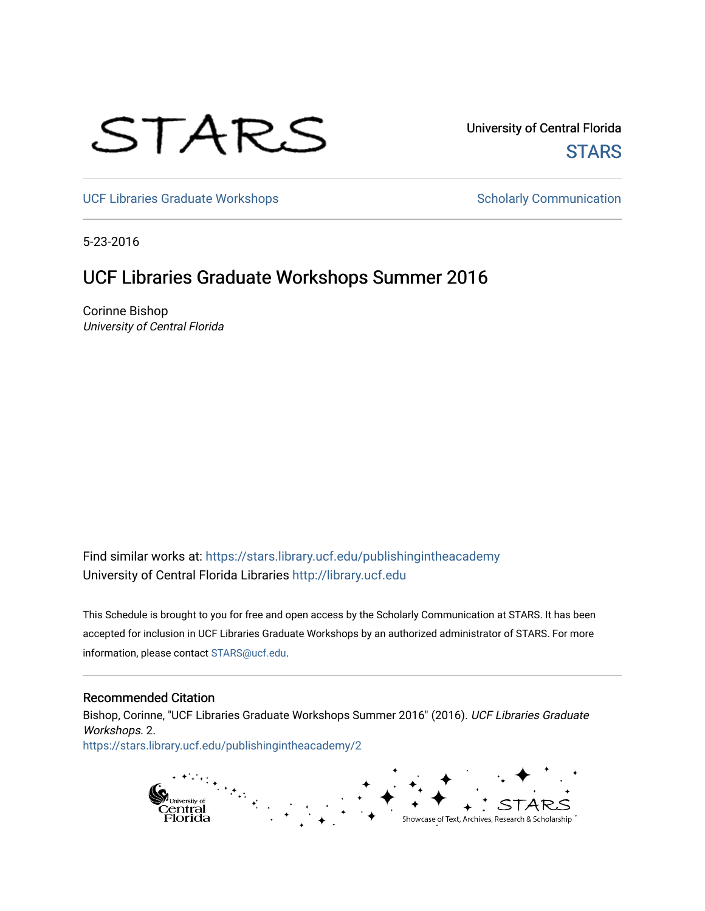

University of Central Florida **STARS** 

[UCF Libraries Graduate Workshops](https://stars.library.ucf.edu/publishingintheacademy) **Scholarly Communication** Scholarly Communication

5-23-2016

# UCF Libraries Graduate Workshops Summer 2016

Corinne Bishop University of Central Florida

Find similar works at: <https://stars.library.ucf.edu/publishingintheacademy> University of Central Florida Libraries [http://library.ucf.edu](http://library.ucf.edu/) 

This Schedule is brought to you for free and open access by the Scholarly Communication at STARS. It has been accepted for inclusion in UCF Libraries Graduate Workshops by an authorized administrator of STARS. For more information, please contact [STARS@ucf.edu.](mailto:STARS@ucf.edu)

# Recommended Citation

Bishop, Corinne, "UCF Libraries Graduate Workshops Summer 2016" (2016). UCF Libraries Graduate Workshops. 2. [https://stars.library.ucf.edu/publishingintheacademy/2](https://stars.library.ucf.edu/publishingintheacademy/2?utm_source=stars.library.ucf.edu%2Fpublishingintheacademy%2F2&utm_medium=PDF&utm_campaign=PDFCoverPages)

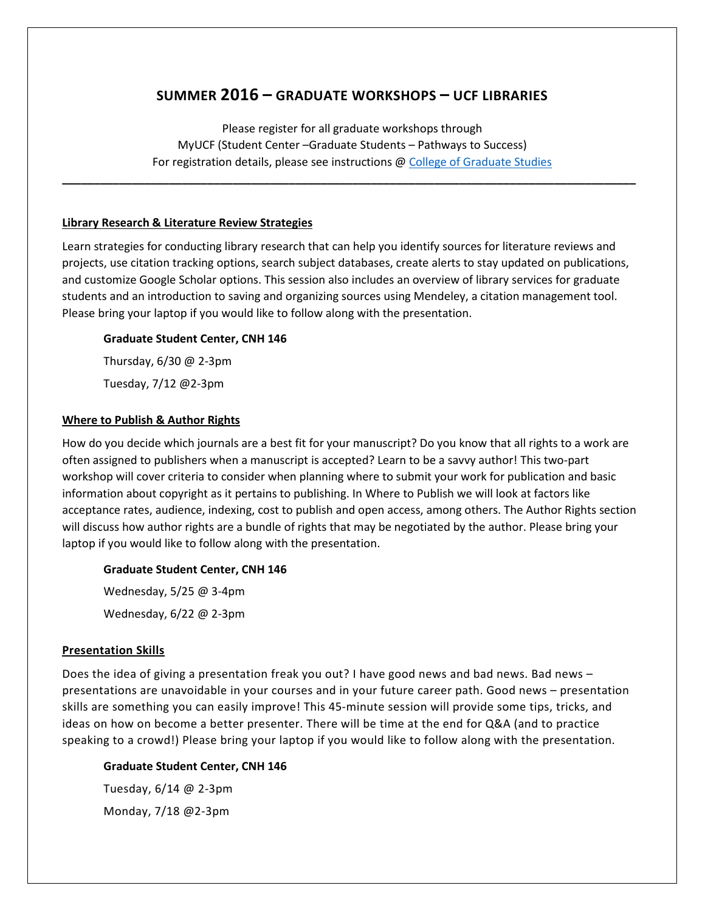# **SUMMER 2016 – GRADUATE WORKSHOPS – UCF LIBRARIES**

Please register for all graduate workshops through MyUCF (Student Center –Graduate Students – Pathways to Success) For registration details, please see instructions @ [College of Graduate Studies](http://www.students.graduate.ucf.edu/Pathways/)

**\_\_\_\_\_\_\_\_\_\_\_\_\_\_\_\_\_\_\_\_\_\_\_\_\_\_\_\_\_\_\_\_\_\_\_\_\_\_\_\_\_\_\_\_\_\_\_\_\_\_\_\_\_\_\_\_\_\_\_\_\_\_\_\_\_\_\_\_\_\_\_\_\_\_\_\_\_\_\_\_\_\_\_\_\_\_\_\_\_\_\_**

## **Library Research & Literature Review Strategies**

Learn strategies for conducting library research that can help you identify sources for literature reviews and projects, use citation tracking options, search subject databases, create alerts to stay updated on publications, and customize Google Scholar options. This session also includes an overview of library services for graduate students and an introduction to saving and organizing sources using Mendeley, a citation management tool. Please bring your laptop if you would like to follow along with the presentation.

# **Graduate Student Center, CNH 146**

Thursday, 6/30 @ 2-3pm Tuesday, 7/12 @2-3pm

# **Where to Publish & Author Rights**

How do you decide which journals are a best fit for your manuscript? Do you know that all rights to a work are often assigned to publishers when a manuscript is accepted? Learn to be a savvy author! This two-part workshop will cover criteria to consider when planning where to submit your work for publication and basic information about copyright as it pertains to publishing. In Where to Publish we will look at factors like acceptance rates, audience, indexing, cost to publish and open access, among others. The Author Rights section will discuss how author rights are a bundle of rights that may be negotiated by the author. Please bring your laptop if you would like to follow along with the presentation.

# **Graduate Student Center, CNH 146**

Wednesday, 5/25 @ 3-4pm Wednesday, 6/22 @ 2-3pm

# **Presentation Skills**

Does the idea of giving a presentation freak you out? I have good news and bad news. Bad news – presentations are unavoidable in your courses and in your future career path. Good news – presentation skills are something you can easily improve! This 45-minute session will provide some tips, tricks, and ideas on how on become a better presenter. There will be time at the end for Q&A (and to practice speaking to a crowd!) Please bring your laptop if you would like to follow along with the presentation.

# **Graduate Student Center, CNH 146**

Tuesday, 6/14 @ 2-3pm Monday, 7/18 @2-3pm